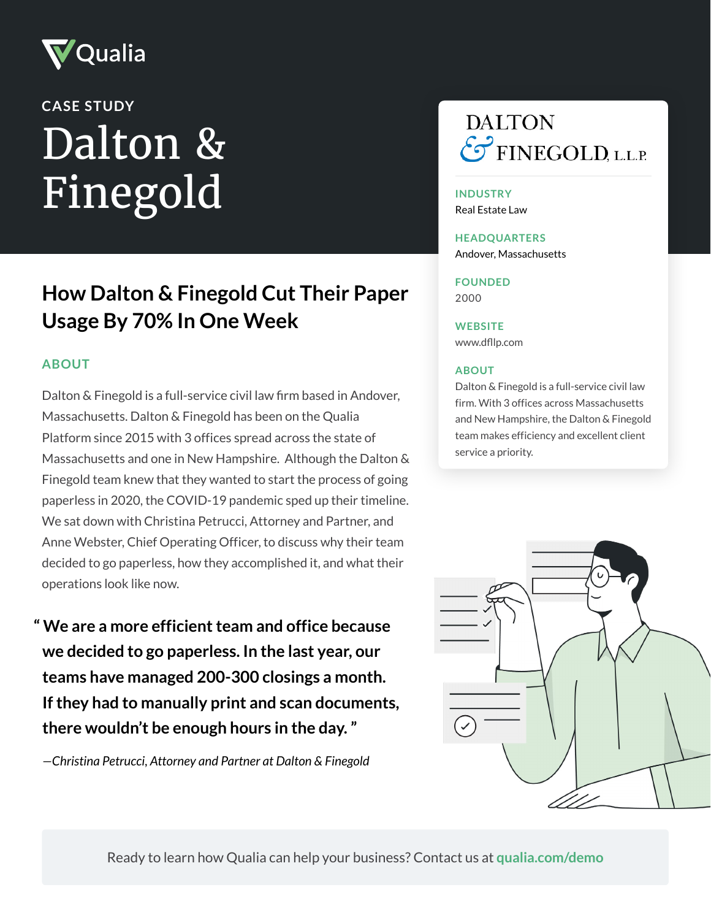

# Dalton & Finegold **CASE STUDY**

## **How Dalton & Finegold Cut Their Paper Usage By 70% In One Week**

#### **ABOUT**

Dalton & Finegold is a full-service civil law firm based in Andover, Massachusetts. Dalton & Finegold has been on the Qualia Platform since 2015 with 3 offices spread across the state of Massachusetts and one in New Hampshire. Although the Dalton & Finegold team knew that they wanted to start the process of going paperless in 2020, the COVID-19 pandemic sped up their timeline. We sat down with Christina Petrucci, Attorney and Partner, and Anne Webster, Chief Operating Officer, to discuss why their team decided to go paperless, how they accomplished it, and what their operations look like now.

**" We are a more efficient team and office because we decided to go paperless. In the last year, our teams have managed 200-300 closings a month. If they had to manually print and scan documents, there wouldn't be enough hours in the day. "**

*—Christina Petrucci, Attorney and Partner at Dalton & Finegold*



#### **INDUSTRY**

Real Estate Law

### **HEADQUARTERS**

Andover, Massachusetts

**FOUNDED** 2000

**WEBSITE** [www.dfllp.com](https://www.dfllp.com/)

#### **ABOUT**

Dalton & Finegold is a full-service civil law firm. With 3 offices across Massachusetts and New Hampshire, the Dalton & Finegold team makes efficiency and excellent client service a priority.



Ready to learn how Qualia can help your business? Contact us at **[qualia.com/demo](https://www.qualia.com/demo/)**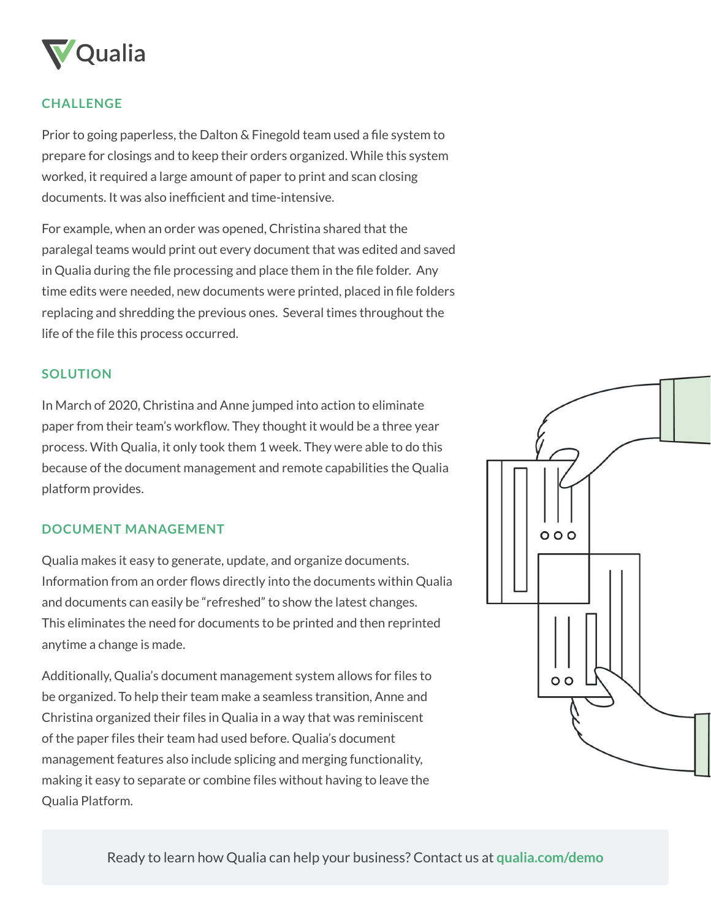

#### **CHALLENGE**

Prior to going paperless, the Dalton & Finegold team used a file system to prepare for closings and to keep their orders organized. While this system worked, it required a large amount of paper to print and scan closing documents. It was also inefficient and time-intensive.

For example, when an order was opened, Christina shared that the paralegal teams would print out every document that was edited and saved in Qualia during the file processing and place them in the file folder. Any time edits were needed, new documents were printed, placed in file folders replacing and shredding the previous ones. Several times throughout the life of the file this process occurred.

#### **SOLUTION**

In March of 2020, Christina and Anne jumped into action to eliminate paper from their team's workflow. They thought it would be a three year process. With Qualia, it only took them 1 week. They were able to do this because of the document management and remote capabilities the Qualia platform provides.

#### **DOCUMENT MANAGEMENT**

Qualia makes it easy to generate, update, and organize documents. Information from an order flows directly into the documents within Qualia and documents can easily be "refreshed" to show the latest changes. This eliminates the need for documents to be printed and then reprinted anytime a change is made.

Additionally, Qualia's document management system allows for files to be organized. To help their team make a seamless transition, Anne and Christina organized their files in Qualia in a way that was reminiscent of the paper files their team had used before. Qualia's document management features also include splicing and merging functionality, making it easy to separate or combine files without having to leave the Qualia Platform.



Ready to learn how Qualia can help your business? Contact us at **[qualia.com/demo](https://www.qualia.com/demo/)**